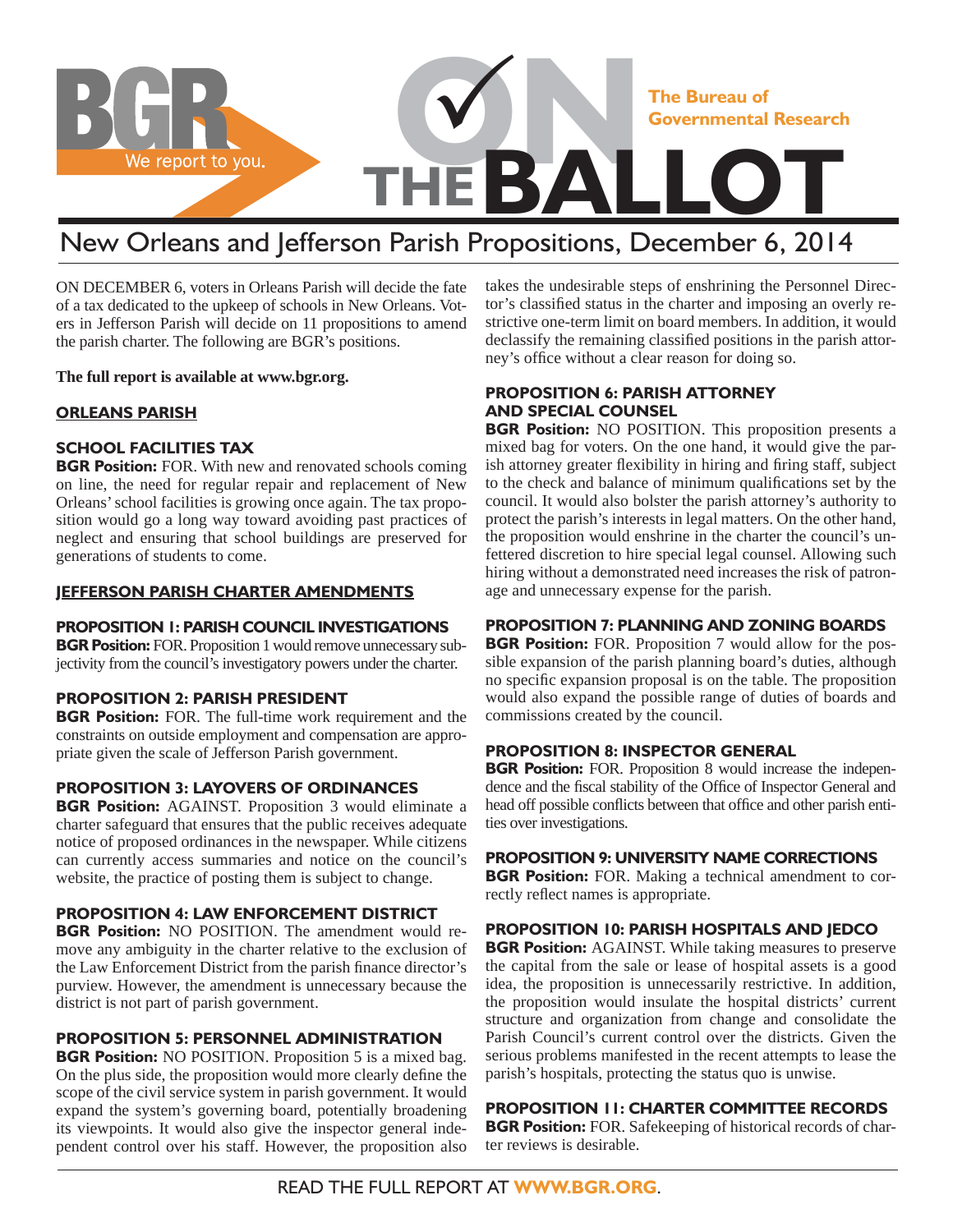

# New Orleans and Jefferson Parish Propositions, December 6, 2014

ON DECEMBER 6, voters in Orleans Parish will decide the fate of a tax dedicated to the upkeep of schools in New Orleans. Voters in Jefferson Parish will decide on 11 propositions to amend the parish charter. The following are BGR's positions.

**The full report is available at www.bgr.org.**

#### **ORLEANS PARISH**

#### **SCHOOL FACILITIES TAX**

**BGR Position:** FOR. With new and renovated schools coming on line, the need for regular repair and replacement of New Orleans' school facilities is growing once again. The tax proposition would go a long way toward avoiding past practices of neglect and ensuring that school buildings are preserved for generations of students to come.

#### **JEFFERSON PARISH CHARTER AMENDMENTS**

#### **PROPOSITION 1: PARISH COUNCIL INVESTIGATIONS**

**BGR Position:** FOR. Proposition 1 would remove unnecessary subjectivity from the council's investigatory powers under the charter.

#### **PROPOSITION 2: PARISH PRESIDENT**

**BGR Position:** FOR. The full-time work requirement and the constraints on outside employment and compensation are appropriate given the scale of Jefferson Parish government.

### **PROPOSITION 3: LAYOVERS OF ORDINANCES**

**BGR Position:** AGAINST. Proposition 3 would eliminate a charter safeguard that ensures that the public receives adequate notice of proposed ordinances in the newspaper. While citizens can currently access summaries and notice on the council's website, the practice of posting them is subject to change.

#### **PROPOSITION 4: LAW ENFORCEMENT DISTRICT**

**BGR Position:** NO POSITION. The amendment would remove any ambiguity in the charter relative to the exclusion of the Law Enforcement District from the parish finance director's purview. However, the amendment is unnecessary because the district is not part of parish government.

#### **PROPOSITION 5: PERSONNEL ADMINISTRATION**

**BGR Position:** NO POSITION. Proposition 5 is a mixed bag. On the plus side, the proposition would more clearly define the scope of the civil service system in parish government. It would expand the system's governing board, potentially broadening its viewpoints. It would also give the inspector general independent control over his staff. However, the proposition also takes the undesirable steps of enshrining the Personnel Director's classified status in the charter and imposing an overly restrictive one-term limit on board members. In addition, it would declassify the remaining classified positions in the parish attorney's office without a clear reason for doing so.

#### **PROPOSITION 6: PARISH ATTORNEY AND SPECIAL COUNSEL**

**BGR Position:** NO POSITION. This proposition presents a mixed bag for voters. On the one hand, it would give the parish attorney greater flexibility in hiring and firing staff, subject to the check and balance of minimum qualifications set by the council. It would also bolster the parish attorney's authority to protect the parish's interests in legal matters. On the other hand, the proposition would enshrine in the charter the council's unfettered discretion to hire special legal counsel. Allowing such hiring without a demonstrated need increases the risk of patronage and unnecessary expense for the parish.

#### **PROPOSITION 7: PLANNING AND ZONING BOARDS**

**BGR Position:** FOR. Proposition 7 would allow for the possible expansion of the parish planning board's duties, although no specific expansion proposal is on the table. The proposition would also expand the possible range of duties of boards and commissions created by the council.

#### **PROPOSITION 8: INSPECTOR GENERAL**

**BGR Position:** FOR. Proposition 8 would increase the independence and the fiscal stability of the Office of Inspector General and head off possible conflicts between that office and other parish entities over investigations.

#### **PROPOSITION 9: UNIVERSITY NAME CORRECTIONS**

**BGR Position:** FOR. Making a technical amendment to correctly reflect names is appropriate.

#### **PROPOSITION 10: PARISH HOSPITALS AND JEDCO**

**BGR Position:** AGAINST. While taking measures to preserve the capital from the sale or lease of hospital assets is a good idea, the proposition is unnecessarily restrictive. In addition, the proposition would insulate the hospital districts' current structure and organization from change and consolidate the Parish Council's current control over the districts. Given the serious problems manifested in the recent attempts to lease the parish's hospitals, protecting the status quo is unwise.

**PROPOSITION 11: CHARTER COMMITTEE RECORDS BGR Position:** FOR. Safekeeping of historical records of charter reviews is desirable.